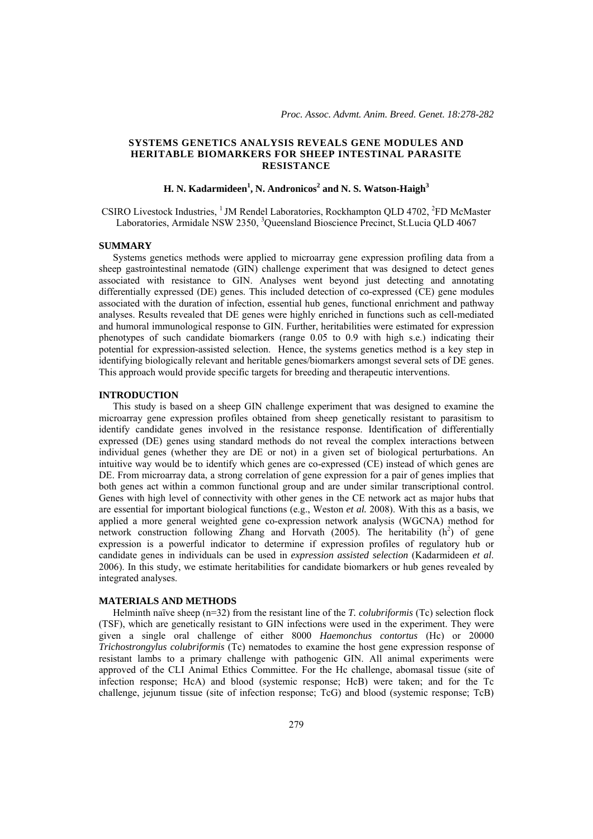# **SYSTEMS GENETICS ANALYSIS REVEALS GENE MODULES AND HERITABLE BIOMARKERS FOR SHEEP INTESTINAL PARASITE RESISTANCE**

# **H. N. Kadarmideen<sup>1</sup> , N. Andronicos<sup>2</sup> and N. S. Watson-Haigh<sup>3</sup>**

CSIRO Livestock Industries, <sup>1</sup> JM Rendel Laboratories, Rockhampton QLD 4702, <sup>2</sup>FD McMaster Laboratories, Armidale NSW 2350, <sup>3</sup>Queensland Bioscience Precinct, St.Lucia QLD 4067

### **SUMMARY**

 Systems genetics methods were applied to microarray gene expression profiling data from a sheep gastrointestinal nematode (GIN) challenge experiment that was designed to detect genes associated with resistance to GIN. Analyses went beyond just detecting and annotating differentially expressed (DE) genes. This included detection of co-expressed (CE) gene modules associated with the duration of infection, essential hub genes, functional enrichment and pathway analyses. Results revealed that DE genes were highly enriched in functions such as cell-mediated and humoral immunological response to GIN. Further, heritabilities were estimated for expression phenotypes of such candidate biomarkers (range 0.05 to 0.9 with high s.e.) indicating their potential for expression-assisted selection. Hence, the systems genetics method is a key step in identifying biologically relevant and heritable genes/biomarkers amongst several sets of DE genes. This approach would provide specific targets for breeding and therapeutic interventions.

### **INTRODUCTION**

This study is based on a sheep GIN challenge experiment that was designed to examine the microarray gene expression profiles obtained from sheep genetically resistant to parasitism to identify candidate genes involved in the resistance response. Identification of differentially expressed (DE) genes using standard methods do not reveal the complex interactions between individual genes (whether they are DE or not) in a given set of biological perturbations. An intuitive way would be to identify which genes are co-expressed (CE) instead of which genes are DE. From microarray data, a strong correlation of gene expression for a pair of genes implies that both genes act within a common functional group and are under similar transcriptional control. Genes with high level of connectivity with other genes in the CE network act as major hubs that are essential for important biological functions (e.g., Weston *et al.* 2008). With this as a basis, we applied a more general weighted gene co-expression network analysis (WGCNA) method for network construction following Zhang and Horvath (2005). The heritability  $(h<sup>2</sup>)$  of gene expression is a powerful indicator to determine if expression profiles of regulatory hub or candidate genes in individuals can be used in *expression assisted selection* (Kadarmideen *et al*. 2006). In this study, we estimate heritabilities for candidate biomarkers or hub genes revealed by integrated analyses.

# **MATERIALS AND METHODS**

Helminth naïve sheep (n=32) from the resistant line of the *T. colubriformis* (Tc) selection flock (TSF), which are genetically resistant to GIN infections were used in the experiment. They were given a single oral challenge of either 8000 *Haemonchus contortus* (Hc) or 20000 *Trichostrongylus colubriformis* (Tc) nematodes to examine the host gene expression response of resistant lambs to a primary challenge with pathogenic GIN. All animal experiments were approved of the CLI Animal Ethics Committee. For the Hc challenge, abomasal tissue (site of infection response; HcA) and blood (systemic response; HcB) were taken; and for the Tc challenge, jejunum tissue (site of infection response; TcG) and blood (systemic response; TcB)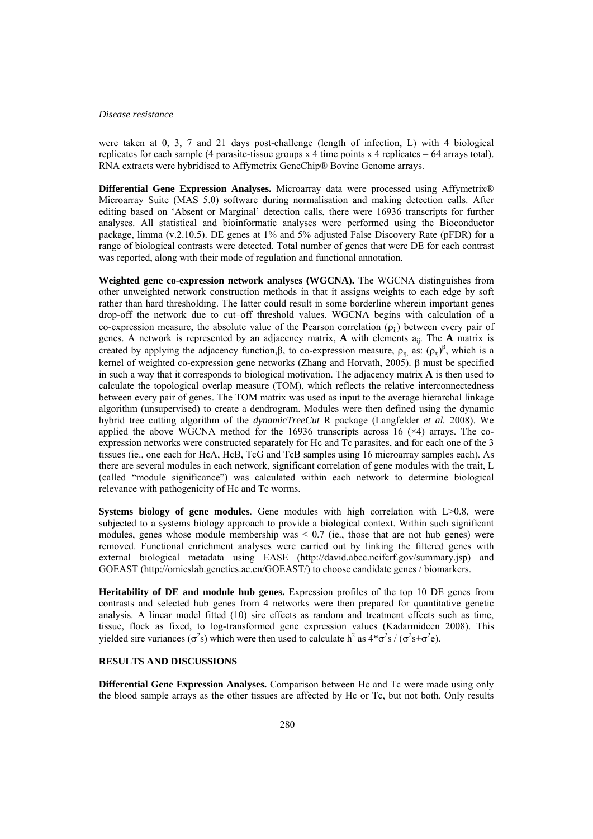#### *Disease resistance*

were taken at 0, 3, 7 and 21 days post-challenge (length of infection, L) with 4 biological replicates for each sample (4 parasite-tissue groups  $x$  4 time points  $x$  4 replicates = 64 arrays total). RNA extracts were hybridised to Affymetrix GeneChip® Bovine Genome arrays.

**Differential Gene Expression Analyses.** Microarray data were processed using Affymetrix® Microarray Suite (MAS 5.0) software during normalisation and making detection calls. After editing based on 'Absent or Marginal' detection calls, there were 16936 transcripts for further analyses. All statistical and bioinformatic analyses were performed using the Bioconductor package, limma (v.2.10.5). DE genes at 1% and 5% adjusted False Discovery Rate (pFDR) for a range of biological contrasts were detected. Total number of genes that were DE for each contrast was reported, along with their mode of regulation and functional annotation.

**Weighted gene co-expression network analyses (WGCNA).** The WGCNA distinguishes from other unweighted network construction methods in that it assigns weights to each edge by soft rather than hard thresholding. The latter could result in some borderline wherein important genes drop-off the network due to cut–off threshold values. WGCNA begins with calculation of a co-expression measure, the absolute value of the Pearson correlation  $(\rho_{ii})$  between every pair of genes. A network is represented by an adjacency matrix, **A** with elements aij. The **A** matrix is created by applying the adjacency function,  $\beta$ , to co-expression measure,  $\rho_{ij}$  as:  $(\rho_{ij})^{\beta}$ , which is a kernel of weighted co-expression gene networks (Zhang and Horvath, 2005).  $\beta$  must be specified in such a way that it corresponds to biological motivation. The adjacency matrix **A** is then used to calculate the topological overlap measure (TOM), which reflects the relative interconnectedness between every pair of genes. The TOM matrix was used as input to the average hierarchal linkage algorithm (unsupervised) to create a dendrogram. Modules were then defined using the dynamic hybrid tree cutting algorithm of the *dynamicTreeCut* R package (Langfelder *et al.* 2008). We applied the above WGCNA method for the 16936 transcripts across 16  $(\times 4)$  arrays. The coexpression networks were constructed separately for Hc and Tc parasites, and for each one of the 3 tissues (ie., one each for HcA, HcB, TcG and TcB samples using 16 microarray samples each). As there are several modules in each network, significant correlation of gene modules with the trait, L (called "module significance") was calculated within each network to determine biological relevance with pathogenicity of Hc and Tc worms.

**Systems biology of gene modules**. Gene modules with high correlation with L $>0.8$ , were subjected to a systems biology approach to provide a biological context. Within such significant modules, genes whose module membership was  $\leq 0.7$  (ie., those that are not hub genes) were removed. Functional enrichment analyses were carried out by linking the filtered genes with external biological metadata using EASE (http://david.abcc.ncifcrf.gov/summary.jsp) and GOEAST (http://omicslab.genetics.ac.cn/GOEAST/) to choose candidate genes / biomarkers.

**Heritability of DE and module hub genes.** Expression profiles of the top 10 DE genes from contrasts and selected hub genes from 4 networks were then prepared for quantitative genetic analysis. A linear model fitted (10) sire effects as random and treatment effects such as time, tissue, flock as fixed, to log-transformed gene expression values (Kadarmideen 2008). This yielded sire variances ( $\sigma^2$ s) which were then used to calculate h<sup>2</sup> as  $4*\sigma^2 s / (\sigma^2 s + \sigma^2 e)$ .

# **RESULTS AND DISCUSSIONS**

**Differential Gene Expression Analyses.** Comparison between Hc and Tc were made using only the blood sample arrays as the other tissues are affected by Hc or Tc, but not both. Only results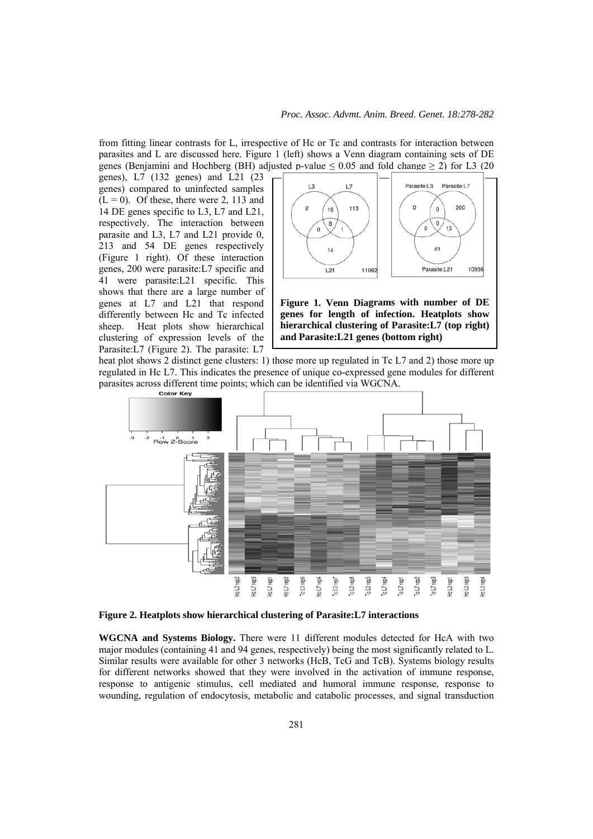from fitting linear contrasts for L, irrespective of Hc or Tc and contrasts for interaction between parasites and L are discussed here. Figure 1 (left) shows a Venn diagram containing sets of DE genes (Benjamini and Hochberg (BH) adjusted p-value  $\leq 0.05$  and fold change  $\geq 2$ ) for L3 (20)

genes), L7 (132 genes) and L21 (23 genes) compared to uninfected samples  $(L = 0)$ . Of these, there were 2, 113 and 14 DE genes specific to L3, L7 and L21, respectively. The interaction between parasite and L3, L7 and L21 provide 0, 213 and 54 DE genes respectively (Figure 1 right). Of these interaction genes, 200 were parasite:L7 specific and 41 were parasite:L21 specific. This shows that there are a large number of genes at L7 and L21 that respond differently between Hc and Tc infected sheep. Heat plots show hierarchical clustering of expression levels of the Parasite:L7 (Figure 2). The parasite: L7



**Figure 1. Venn Diagrams with number of DE genes for length of infection. Heatplots show hierarchical clustering of Parasite:L7 (top right) and Parasite:L21 genes (bottom right)**

heat plot shows 2 distinct gene clusters: 1) those more up regulated in Tc L7 and 2) those more up regulated in Hc L7. This indicates the presence of unique co-expressed gene modules for different parasites across different time points; which can be identified via WGCNA.



**Figure 2. Heatplots show hierarchical clustering of Parasite:L7 interactions**

**WGCNA and Systems Biology.** There were 11 different modules detected for HcA with two major modules (containing 41 and 94 genes, respectively) being the most significantly related to L. Similar results were available for other 3 networks (HcB, TcG and TcB). Systems biology results for different networks showed that they were involved in the activation of immune response, response to antigenic stimulus, cell mediated and humoral immune response, response to wounding, regulation of endocytosis, metabolic and catabolic processes, and signal transduction